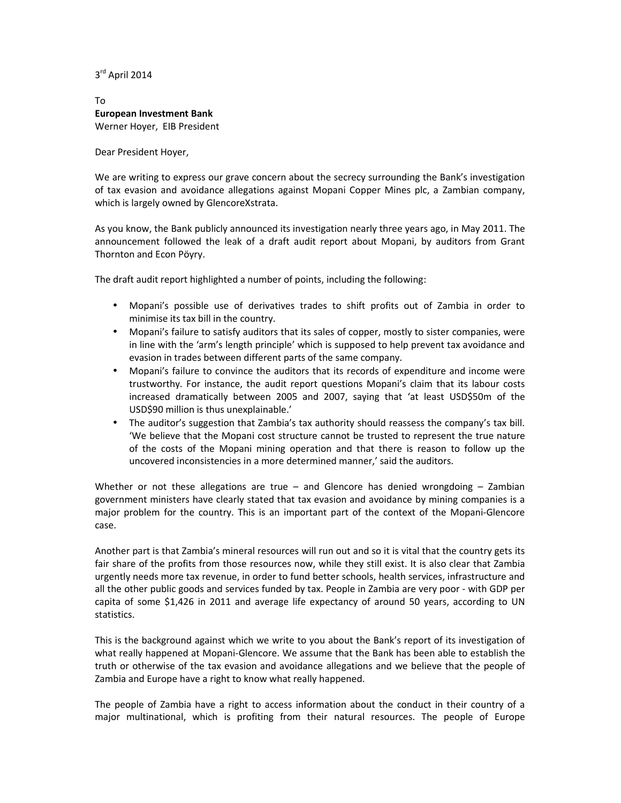3 rd April 2014

## To **European Investment Bank**  Werner Hoyer, EIB President

Dear President Hoyer,

We are writing to express our grave concern about the secrecy surrounding the Bank's investigation of tax evasion and avoidance allegations against Mopani Copper Mines plc, a Zambian company, which is largely owned by GlencoreXstrata.

As you know, the Bank publicly announced its investigation nearly three years ago, in May 2011. The announcement followed the leak of a draft audit report about Mopani, by auditors from Grant Thornton and Econ Pöyry.

The draft audit report highlighted a number of points, including the following:

- Mopani's possible use of derivatives trades to shift profits out of Zambia in order to minimise its tax bill in the country.
- Mopani's failure to satisfy auditors that its sales of copper, mostly to sister companies, were in line with the 'arm's length principle' which is supposed to help prevent tax avoidance and evasion in trades between different parts of the same company.
- Mopani's failure to convince the auditors that its records of expenditure and income were trustworthy. For instance, the audit report questions Mopani's claim that its labour costs increased dramatically between 2005 and 2007, saying that 'at least USD\$50m of the USD\$90 million is thus unexplainable.'
- The auditor's suggestion that Zambia's tax authority should reassess the company's tax bill. 'We believe that the Mopani cost structure cannot be trusted to represent the true nature of the costs of the Mopani mining operation and that there is reason to follow up the uncovered inconsistencies in a more determined manner,' said the auditors.

Whether or not these allegations are true – and Glencore has denied wrongdoing – Zambian government ministers have clearly stated that tax evasion and avoidance by mining companies is a major problem for the country. This is an important part of the context of the Mopani-Glencore case.

Another part is that Zambia's mineral resources will run out and so it is vital that the country gets its fair share of the profits from those resources now, while they still exist. It is also clear that Zambia urgently needs more tax revenue, in order to fund better schools, health services, infrastructure and all the other public goods and services funded by tax. People in Zambia are very poor - with GDP per capita of some \$1,426 in 2011 and average life expectancy of around 50 years, according to UN statistics.

This is the background against which we write to you about the Bank's report of its investigation of what really happened at Mopani-Glencore. We assume that the Bank has been able to establish the truth or otherwise of the tax evasion and avoidance allegations and we believe that the people of Zambia and Europe have a right to know what really happened.

The people of Zambia have a right to access information about the conduct in their country of a major multinational, which is profiting from their natural resources. The people of Europe